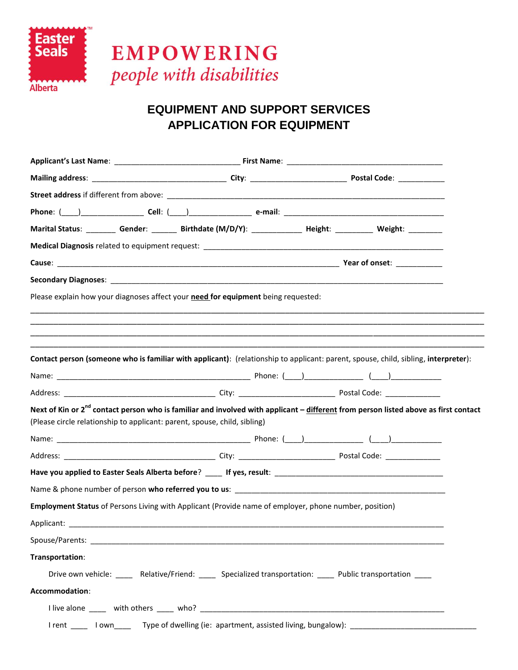

# **EQUIPMENT AND SUPPORT SERVICES APPLICATION FOR EQUIPMENT**

|                                                                                                       |  | Marital Status: _________ Gender: _______ Birthdate (M/D/Y): _____________ Height: __________ Weight: ________                                  |
|-------------------------------------------------------------------------------------------------------|--|-------------------------------------------------------------------------------------------------------------------------------------------------|
|                                                                                                       |  |                                                                                                                                                 |
|                                                                                                       |  |                                                                                                                                                 |
|                                                                                                       |  |                                                                                                                                                 |
| Please explain how your diagnoses affect your need for equipment being requested:                     |  |                                                                                                                                                 |
|                                                                                                       |  |                                                                                                                                                 |
|                                                                                                       |  |                                                                                                                                                 |
|                                                                                                       |  |                                                                                                                                                 |
|                                                                                                       |  | Contact person (someone who is familiar with applicant): (relationship to applicant: parent, spouse, child, sibling, interpreter):              |
|                                                                                                       |  |                                                                                                                                                 |
|                                                                                                       |  |                                                                                                                                                 |
| (Please circle relationship to applicant: parent, spouse, child, sibling)                             |  | Next of Kin or 2 <sup>nd</sup> contact person who is familiar and involved with applicant – different from person listed above as first contact |
|                                                                                                       |  |                                                                                                                                                 |
|                                                                                                       |  |                                                                                                                                                 |
|                                                                                                       |  |                                                                                                                                                 |
|                                                                                                       |  |                                                                                                                                                 |
|                                                                                                       |  |                                                                                                                                                 |
| Employment Status of Persons Living with Applicant (Provide name of employer, phone number, position) |  |                                                                                                                                                 |
|                                                                                                       |  |                                                                                                                                                 |
|                                                                                                       |  |                                                                                                                                                 |
|                                                                                                       |  |                                                                                                                                                 |
| Transportation:                                                                                       |  |                                                                                                                                                 |
|                                                                                                       |  | Drive own vehicle: ______ Relative/Friend: ______ Specialized transportation: _____ Public transportation ____                                  |
| Accommodation:                                                                                        |  |                                                                                                                                                 |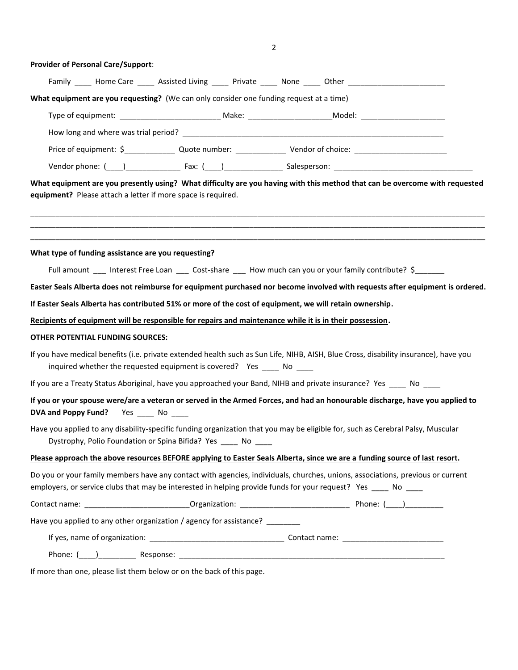2

| <b>Provider of Personal Care/Support:</b>                                                                                                                                                                                                         |                                                                                                               |                                                                                                                               |  |
|---------------------------------------------------------------------------------------------------------------------------------------------------------------------------------------------------------------------------------------------------|---------------------------------------------------------------------------------------------------------------|-------------------------------------------------------------------------------------------------------------------------------|--|
|                                                                                                                                                                                                                                                   | Family ______ Home Care _______ Assisted Living ______ Private ______ None ______ Other _____________________ |                                                                                                                               |  |
| What equipment are you requesting? (We can only consider one funding request at a time)                                                                                                                                                           |                                                                                                               |                                                                                                                               |  |
|                                                                                                                                                                                                                                                   |                                                                                                               |                                                                                                                               |  |
|                                                                                                                                                                                                                                                   |                                                                                                               |                                                                                                                               |  |
|                                                                                                                                                                                                                                                   |                                                                                                               |                                                                                                                               |  |
|                                                                                                                                                                                                                                                   |                                                                                                               |                                                                                                                               |  |
| equipment? Please attach a letter if more space is required.                                                                                                                                                                                      |                                                                                                               | What equipment are you presently using? What difficulty are you having with this method that can be overcome with requested   |  |
| What type of funding assistance are you requesting?                                                                                                                                                                                               |                                                                                                               |                                                                                                                               |  |
|                                                                                                                                                                                                                                                   | Full amount ___ Interest Free Loan ___ Cost-share ___ How much can you or your family contribute? \$______    |                                                                                                                               |  |
|                                                                                                                                                                                                                                                   |                                                                                                               | Easter Seals Alberta does not reimburse for equipment purchased nor become involved with requests after equipment is ordered. |  |
| If Easter Seals Alberta has contributed 51% or more of the cost of equipment, we will retain ownership.                                                                                                                                           |                                                                                                               |                                                                                                                               |  |
| Recipients of equipment will be responsible for repairs and maintenance while it is in their possession.                                                                                                                                          |                                                                                                               |                                                                                                                               |  |
| OTHER POTENTIAL FUNDING SOURCES:                                                                                                                                                                                                                  |                                                                                                               |                                                                                                                               |  |
| If you have medical benefits (i.e. private extended health such as Sun Life, NIHB, AISH, Blue Cross, disability insurance), have you                                                                                                              | inquired whether the requested equipment is covered? Yes _____ No ____                                        |                                                                                                                               |  |
| If you are a Treaty Status Aboriginal, have you approached your Band, NIHB and private insurance? Yes _____ No ____                                                                                                                               |                                                                                                               |                                                                                                                               |  |
| DVA and Poppy Fund? Yes _____ No ____                                                                                                                                                                                                             |                                                                                                               | If you or your spouse were/are a veteran or served in the Armed Forces, and had an honourable discharge, have you applied to  |  |
| Have you applied to any disability-specific funding organization that you may be eligible for, such as Cerebral Palsy, Muscular<br>Dystrophy, Polio Foundation or Spina Bifida? Yes No                                                            |                                                                                                               |                                                                                                                               |  |
| Please approach the above resources BEFORE applying to Easter Seals Alberta, since we are a funding source of last resort.                                                                                                                        |                                                                                                               |                                                                                                                               |  |
| Do you or your family members have any contact with agencies, individuals, churches, unions, associations, previous or current<br>employers, or service clubs that may be interested in helping provide funds for your request? Yes _____ No ____ |                                                                                                               |                                                                                                                               |  |
|                                                                                                                                                                                                                                                   |                                                                                                               |                                                                                                                               |  |
| Have you applied to any other organization / agency for assistance? _______                                                                                                                                                                       |                                                                                                               |                                                                                                                               |  |
|                                                                                                                                                                                                                                                   |                                                                                                               |                                                                                                                               |  |
|                                                                                                                                                                                                                                                   |                                                                                                               |                                                                                                                               |  |

If more than one, please list them below or on the back of this page.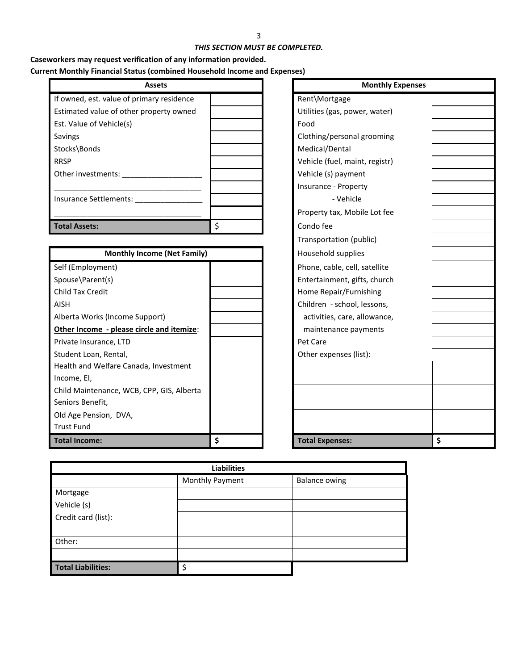## *THIS SECTION MUST BE COMPLETED.*

# **Caseworkers may request verification of any information provided. Current Monthly Financial Status (combined Household Income and Expenses)**

| <b>Assets</b>                             |   | <b>Monthly</b>                 |
|-------------------------------------------|---|--------------------------------|
| If owned, est. value of primary residence |   | Rent\Mortgage                  |
| Estimated value of other property owned   |   | Utilities (gas, power, water)  |
| Est. Value of Vehicle(s)                  |   | Food                           |
| Savings                                   |   | Clothing/personal grooming     |
| Stocks\Bonds                              |   | Medical/Dental                 |
| <b>RRSP</b>                               |   | Vehicle (fuel, maint, registr) |
| Other investments:                        |   | Vehicle (s) payment            |
|                                           |   | Insurance - Property           |
| Insurance Settlements:                    |   | - Vehicle                      |
|                                           |   | Property tax, Mobile Lot fee   |
| <b>Total Assets:</b>                      | Ś | Condo fee                      |

| <b>Monthly Income (Net Family)</b>        |    | Household supplies            |    |
|-------------------------------------------|----|-------------------------------|----|
| Self (Employment)                         |    | Phone, cable, cell, satellite |    |
| Spouse\Parent(s)                          |    | Entertainment, gifts, church  |    |
| <b>Child Tax Credit</b>                   |    | Home Repair/Furnishing        |    |
| <b>AISH</b>                               |    | Children - school, lessons,   |    |
| Alberta Works (Income Support)            |    | activities, care, allowance,  |    |
| Other Income - please circle and itemize: |    | maintenance payments          |    |
| Private Insurance, LTD                    |    | Pet Care                      |    |
| Student Loan, Rental,                     |    | Other expenses (list):        |    |
| Health and Welfare Canada, Investment     |    |                               |    |
| Income, EI,                               |    |                               |    |
| Child Maintenance, WCB, CPP, GIS, Alberta |    |                               |    |
| Seniors Benefit,                          |    |                               |    |
| Old Age Pension, DVA,                     |    |                               |    |
| <b>Trust Fund</b>                         |    |                               |    |
| <b>Total Income:</b>                      | \$ | <b>Total Expenses:</b>        | \$ |

| <b>Assets</b>     |    | <b>Monthly Expenses</b>        |   |  |
|-------------------|----|--------------------------------|---|--|
| nary residence    |    | Rent\Mortgage                  |   |  |
| roperty owned     |    | Utilities (gas, power, water)  |   |  |
|                   |    | Food                           |   |  |
|                   |    | Clothing/personal grooming     |   |  |
|                   |    | Medical/Dental                 |   |  |
|                   |    | Vehicle (fuel, maint, registr) |   |  |
|                   |    | Vehicle (s) payment            |   |  |
|                   |    | Insurance - Property           |   |  |
|                   |    | - Vehicle                      |   |  |
|                   |    | Property tax, Mobile Lot fee   |   |  |
|                   | \$ | Condo fee                      |   |  |
|                   |    | Transportation (public)        |   |  |
| come (Net Family) |    | Household supplies             |   |  |
|                   |    | Phone, cable, cell, satellite  |   |  |
|                   |    | Entertainment, gifts, church   |   |  |
|                   |    | Home Repair/Furnishing         |   |  |
|                   |    | Children - school, lessons,    |   |  |
| oport)            |    | activities, care, allowance,   |   |  |
| cle and itemize:  |    | maintenance payments           |   |  |
|                   |    | Pet Care                       |   |  |
|                   |    | Other expenses (list):         |   |  |
| a, Investment     |    |                                |   |  |
| CPP, GIS, Alberta |    |                                |   |  |
|                   |    |                                |   |  |
|                   | \$ | <b>Total Expenses:</b>         | Ś |  |

| <b>Liabilities</b>        |                 |                      |  |  |  |
|---------------------------|-----------------|----------------------|--|--|--|
|                           | Monthly Payment | <b>Balance owing</b> |  |  |  |
| Mortgage                  |                 |                      |  |  |  |
| Vehicle (s)               |                 |                      |  |  |  |
| Credit card (list):       |                 |                      |  |  |  |
|                           |                 |                      |  |  |  |
| Other:                    |                 |                      |  |  |  |
|                           |                 |                      |  |  |  |
| <b>Total Liabilities:</b> |                 |                      |  |  |  |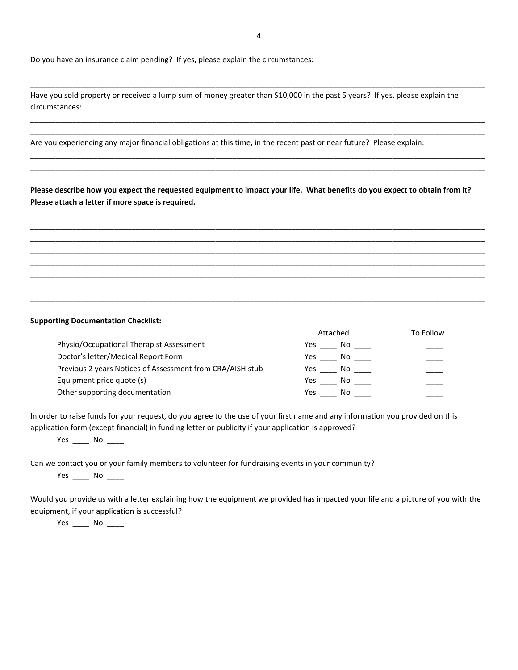Do you have an insurance claim pending? If yes, please explain the circumstances:

Have you sold property or received a lump sum of money greater than \$10,000 in the past 5 years? If yes, please explain the circumstances:

Are you experiencing any major financial obligations at this time, in the recent past or near future? Please explain:

**Please describe how you expect the requested equipment to impact your life. What benefits do you expect to obtain from it? Please attach a letter if more space is required.**

\_\_\_\_\_\_\_\_\_\_\_\_\_\_\_\_\_\_\_\_\_\_\_\_\_\_\_\_\_\_\_\_\_\_\_\_\_\_\_\_\_\_\_\_\_\_\_\_\_\_\_\_\_\_\_\_\_\_\_\_\_\_\_\_\_\_\_\_\_\_\_\_\_\_\_\_\_\_\_\_\_\_\_\_\_\_\_\_\_\_\_\_\_\_\_\_\_\_\_\_\_\_\_\_\_\_\_\_ \_\_\_\_\_\_\_\_\_\_\_\_\_\_\_\_\_\_\_\_\_\_\_\_\_\_\_\_\_\_\_\_\_\_\_\_\_\_\_\_\_\_\_\_\_\_\_\_\_\_\_\_\_\_\_\_\_\_\_\_\_\_\_\_\_\_\_\_\_\_\_\_\_\_\_\_\_\_\_\_\_\_\_\_\_\_\_\_\_\_\_\_\_\_\_\_\_\_\_\_\_\_\_\_\_\_\_\_ \_\_\_\_\_\_\_\_\_\_\_\_\_\_\_\_\_\_\_\_\_\_\_\_\_\_\_\_\_\_\_\_\_\_\_\_\_\_\_\_\_\_\_\_\_\_\_\_\_\_\_\_\_\_\_\_\_\_\_\_\_\_\_\_\_\_\_\_\_\_\_\_\_\_\_\_\_\_\_\_\_\_\_\_\_\_\_\_\_\_\_\_\_\_\_\_\_\_\_\_\_\_\_\_\_\_\_\_ \_\_\_\_\_\_\_\_\_\_\_\_\_\_\_\_\_\_\_\_\_\_\_\_\_\_\_\_\_\_\_\_\_\_\_\_\_\_\_\_\_\_\_\_\_\_\_\_\_\_\_\_\_\_\_\_\_\_\_\_\_\_\_\_\_\_\_\_\_\_\_\_\_\_\_\_\_\_\_\_\_\_\_\_\_\_\_\_\_\_\_\_\_\_\_\_\_\_\_\_\_\_\_\_\_\_\_\_ \_\_\_\_\_\_\_\_\_\_\_\_\_\_\_\_\_\_\_\_\_\_\_\_\_\_\_\_\_\_\_\_\_\_\_\_\_\_\_\_\_\_\_\_\_\_\_\_\_\_\_\_\_\_\_\_\_\_\_\_\_\_\_\_\_\_\_\_\_\_\_\_\_\_\_\_\_\_\_\_\_\_\_\_\_\_\_\_\_\_\_\_\_\_\_\_\_\_\_\_\_\_\_\_\_\_\_\_ \_\_\_\_\_\_\_\_\_\_\_\_\_\_\_\_\_\_\_\_\_\_\_\_\_\_\_\_\_\_\_\_\_\_\_\_\_\_\_\_\_\_\_\_\_\_\_\_\_\_\_\_\_\_\_\_\_\_\_\_\_\_\_\_\_\_\_\_\_\_\_\_\_\_\_\_\_\_\_\_\_\_\_\_\_\_\_\_\_\_\_\_\_\_\_\_\_\_\_\_\_\_\_\_\_\_\_\_ \_\_\_\_\_\_\_\_\_\_\_\_\_\_\_\_\_\_\_\_\_\_\_\_\_\_\_\_\_\_\_\_\_\_\_\_\_\_\_\_\_\_\_\_\_\_\_\_\_\_\_\_\_\_\_\_\_\_\_\_\_\_\_\_\_\_\_\_\_\_\_\_\_\_\_\_\_\_\_\_\_\_\_\_\_\_\_\_\_\_\_\_\_\_\_\_\_\_\_\_\_\_\_\_\_\_\_\_ \_\_\_\_\_\_\_\_\_\_\_\_\_\_\_\_\_\_\_\_\_\_\_\_\_\_\_\_\_\_\_\_\_\_\_\_\_\_\_\_\_\_\_\_\_\_\_\_\_\_\_\_\_\_\_\_\_\_\_\_\_\_\_\_\_\_\_\_\_\_\_\_\_\_\_\_\_\_\_\_\_\_\_\_\_\_\_\_\_\_\_\_\_\_\_\_\_\_\_\_\_\_\_\_\_\_\_\_

#### **Supporting Documentation Checklist:**

|                                                           | Attached  | To Follow |
|-----------------------------------------------------------|-----------|-----------|
| Physio/Occupational Therapist Assessment                  | Yes<br>No |           |
| Doctor's letter/Medical Report Form                       | Yes<br>No |           |
| Previous 2 years Notices of Assessment from CRA/AISH stub | Yes<br>Nο |           |
| Equipment price quote (s)                                 | Yes<br>Nο |           |
| Other supporting documentation                            | Yes<br>No |           |

In order to raise funds for your request, do you agree to the use of your first name and any information you provided on this application form (except financial) in funding letter or publicity if your application is approved?

Yes \_\_\_\_\_ No \_\_

Can we contact you or your family members to volunteer for fundraising events in your community?

Yes No

Would you provide us with a letter explaining how the equipment we provided has impacted your life and a picture of you with the equipment, if your application is successful?

Yes \_\_\_\_\_ No \_\_\_\_\_

\_\_\_\_\_\_\_\_\_\_\_\_\_\_\_\_\_\_\_\_\_\_\_\_\_\_\_\_\_\_\_\_\_\_\_\_\_\_\_\_\_\_\_\_\_\_\_\_\_\_\_\_\_\_\_\_\_\_\_\_\_\_\_\_\_\_\_\_\_\_\_\_\_\_\_\_\_\_\_\_\_\_\_\_\_\_\_\_\_\_\_\_\_\_\_\_\_\_\_\_\_\_\_\_\_\_\_\_ \_\_\_\_\_\_\_\_\_\_\_\_\_\_\_\_\_\_\_\_\_\_\_\_\_\_\_\_\_\_\_\_\_\_\_\_\_\_\_\_\_\_\_\_\_\_\_\_\_\_\_\_\_\_\_\_\_\_\_\_\_\_\_\_\_\_\_\_\_\_\_\_\_\_\_\_\_\_\_\_\_\_\_\_\_\_\_\_\_\_\_\_\_\_\_\_\_\_\_\_\_\_\_\_\_\_\_\_

\_\_\_\_\_\_\_\_\_\_\_\_\_\_\_\_\_\_\_\_\_\_\_\_\_\_\_\_\_\_\_\_\_\_\_\_\_\_\_\_\_\_\_\_\_\_\_\_\_\_\_\_\_\_\_\_\_\_\_\_\_\_\_\_\_\_\_\_\_\_\_\_\_\_\_\_\_\_\_\_\_\_\_\_\_\_\_\_\_\_\_\_\_\_\_\_\_\_\_\_\_\_\_\_\_\_\_\_ \_\_\_\_\_\_\_\_\_\_\_\_\_\_\_\_\_\_\_\_\_\_\_\_\_\_\_\_\_\_\_\_\_\_\_\_\_\_\_\_\_\_\_\_\_\_\_\_\_\_\_\_\_\_\_\_\_\_\_\_\_\_\_\_\_\_\_\_\_\_\_\_\_\_\_\_\_\_\_\_\_\_\_\_\_\_\_\_\_\_\_\_\_\_\_\_\_\_\_\_\_\_\_\_\_\_\_\_

\_\_\_\_\_\_\_\_\_\_\_\_\_\_\_\_\_\_\_\_\_\_\_\_\_\_\_\_\_\_\_\_\_\_\_\_\_\_\_\_\_\_\_\_\_\_\_\_\_\_\_\_\_\_\_\_\_\_\_\_\_\_\_\_\_\_\_\_\_\_\_\_\_\_\_\_\_\_\_\_\_\_\_\_\_\_\_\_\_\_\_\_\_\_\_\_\_\_\_\_\_\_\_\_\_\_\_\_ \_\_\_\_\_\_\_\_\_\_\_\_\_\_\_\_\_\_\_\_\_\_\_\_\_\_\_\_\_\_\_\_\_\_\_\_\_\_\_\_\_\_\_\_\_\_\_\_\_\_\_\_\_\_\_\_\_\_\_\_\_\_\_\_\_\_\_\_\_\_\_\_\_\_\_\_\_\_\_\_\_\_\_\_\_\_\_\_\_\_\_\_\_\_\_\_\_\_\_\_\_\_\_\_\_\_\_\_